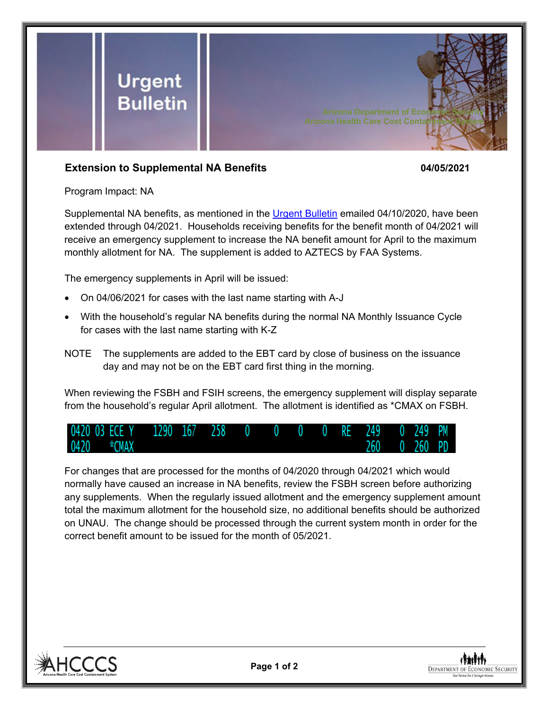

## **Extension to Supplemental NA Benefits 04/05/2021**

Program Impact: NA

Supplemental NA benefits, as mentioned in the [Urgent Bulletin](https://dbmefaapolicy.azdes.gov/FAA5/baggage/Urgent%20Bulletin%20(04-10-2020)%20-%20Supplemental%20Nutrition%20Assistance%20Benefits%20for%20Participants.pdf) emailed 04/10/2020, have been extended through 04/2021. Households receiving benefits for the benefit month of 04/2021 will receive an emergency supplement to increase the NA benefit amount for April to the maximum monthly allotment for NA. The supplement is added to AZTECS by FAA Systems.

The emergency supplements in April will be issued:

- On 04/06/2021 for cases with the last name starting with A-J
- With the household's regular NA benefits during the normal NA Monthly Issuance Cycle for cases with the last name starting with K-Z
- NOTE The supplements are added to the EBT card by close of business on the issuance day and may not be on the EBT card first thing in the morning.

When reviewing the FSBH and FSIH screens, the emergency supplement will display separate from the household's regular April allotment. The allotment is identified as \*CMAX on FSBH.



For changes that are processed for the months of 04/2020 through 04/2021 which would normally have caused an increase in NA benefits, review the FSBH screen before authorizing any supplements. When the regularly issued allotment and the emergency supplement amount total the maximum allotment for the household size, no additional benefits should be authorized on UNAU. The change should be processed through the current system month in order for the correct benefit amount to be issued for the month of 05/2021.